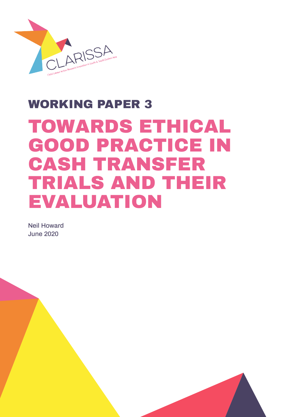

# WORKING PAPER 3 TOWARDS ETHICAL GOOD PRACTICE IN CASH TRANSFER TRIALS AND THEIR EVALUATION

Neil Howard June 2020

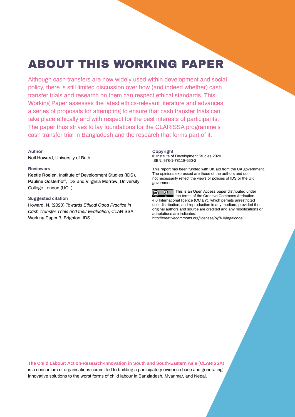## ABOUT THIS WORKING PAPER

Although cash transfers are now widely used within development and social policy, there is still limited discussion over how (and indeed whether) cash transfer trials and research on them can respect ethical standards. This Working Paper assesses the latest ethics-relevant literature and advances a series of proposals for attempting to ensure that cash transfer trials can take place ethically and with respect for the best interests of participants. The paper thus strives to lay foundations for the CLARISSA programme's cash transfer trial in Bangladesh and the research that forms part of it.

#### **Author**

Neil Howard, University of Bath

#### **Reviewers**

Keetie Roelen, Institute of Development Studies (IDS), Pauline Oosterhoff, IDS and Virginia Morrow, University College London (UCL).

#### **Suggested citation**

Howard, N. (2020) *Towards Ethical Good Practice in Cash Transfer Trials and their Evaluation*, CLARISSA Working Paper 3, Brighton: IDS

#### **Copyright**

© Institute of Development Studies 2020 ISBN: 978-1-78118-660-2

This report has been funded with UK aid from the UK government. The opinions expressed are those of the authors and do not necessarily reflect the views or policies of IDS or the UK government.

This is an Open Access paper distributed under  $\bigcirc$  $\left( \mathbf{c}\right)$ the terms of the Creative Commons Attribution 4.0 International licence (CC BY), which permits unrestricted use, distribution, and reproduction in any medium, provided the original authors and source are credited and any modifications or adaptations are indicated.

<http://creativecommons.org/licenses/by/4.0/legalcode>

#### **The Child Labour: Action-Research-Innovation in South and South-Eastern Asia (CLARISSA)**

is a consortium of organisations committed to building a participatory evidence base and generating innovative solutions to the worst forms of child labour in Bangladesh, Myanmar, and Nepal.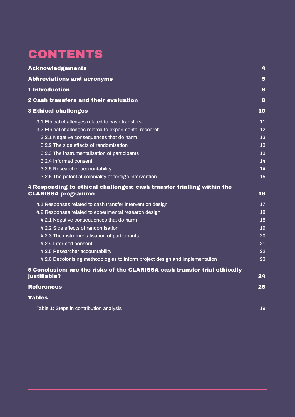## CONTENTS

| <b>Acknowledgements</b>                                                                             | 4  |
|-----------------------------------------------------------------------------------------------------|----|
| <b>Abbreviations and acronyms</b>                                                                   | 5  |
| <b>1 Introduction</b>                                                                               | 6  |
| 2 Cash transfers and their evaluation                                                               | 8  |
| <b>3 Ethical challenges</b>                                                                         | 10 |
| 3.1 Ethical challenges related to cash transfers                                                    | 11 |
| 3.2 Ethical challenges related to experimental research                                             | 12 |
| 3.2.1 Negative consequences that do harm                                                            | 13 |
| 3.2.2 The side effects of randomisation                                                             | 13 |
| 3.2.3 The instrumentalisation of participants                                                       | 13 |
| 3.2.4 Informed consent                                                                              | 14 |
| 3.2.5 Researcher accountability                                                                     | 14 |
| 3.2.6 The potential coloniality of foreign intervention                                             | 15 |
| 4 Responding to ethical challenges: cash transfer trialling within the<br><b>CLARISSA programme</b> | 16 |
| 4.1 Responses related to cash transfer intervention design                                          | 17 |
| 4.2 Responses related to experimental research design                                               | 18 |
| 4.2.1 Negative consequences that do harm                                                            | 18 |
| 4.2.2 Side effects of randomisation                                                                 | 19 |
| 4.2.3 The instrumentalisation of participants                                                       | 20 |
| 4.2.4 Informed consent                                                                              | 21 |
| 4.2.5 Researcher accountability                                                                     | 22 |
| 4.2.6 Decolonising methodologies to inform project design and implementation                        | 23 |
| 5 Conclusion: are the risks of the CLARISSA cash transfer trial ethically                           |    |
| justifiable?                                                                                        | 24 |
| <b>References</b>                                                                                   | 26 |
| <b>Tables</b>                                                                                       |    |
| Table 1: Steps in contribution analysis                                                             | 19 |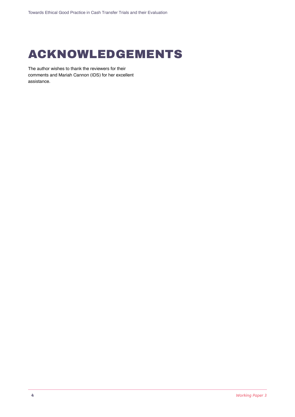## ACKNOWLEDGEMENTS

The author wishes to thank the reviewers for their comments and Mariah Cannon (IDS) for her excellent assistance.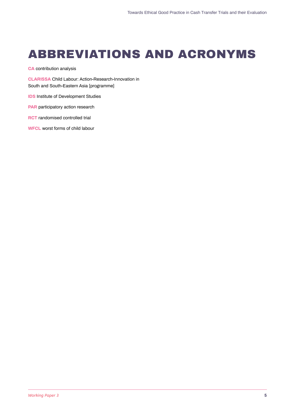## ABBREVIATIONS AND ACRONYMS

**CA** contribution analysis

**CLARISSA** Child Labour: Action-Research-Innovation in South and South-Eastern Asia [programme]

**IDS** Institute of Development Studies

**PAR** participatory action research

**RCT** randomised controlled trial

**WFCL** worst forms of child labour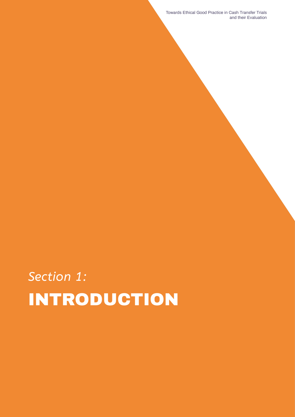Towards Ethical Good Practice in Cash Transfer Trials and their Evaluation

# INTRODUCTION *Section 1:*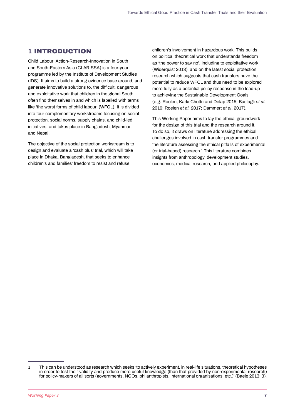## **1** INTRODUCTION

Child Labour: Action-Research-Innovation in South and South-Eastern Asia (CLARISSA) is a four-year programme led by the Institute of Development Studies (IDS). It aims to build a strong evidence base around, and generate innovative solutions to, the difficult, dangerous and exploitative work that children in the global South often find themselves in and which is labelled with terms like 'the worst forms of child labour' (WFCL). It is divided into four complementary workstreams focusing on social protection, social norms, supply chains, and child-led initiatives, and takes place in Bangladesh, Myanmar, and Nepal.

The objective of the social protection workstream is to design and evaluate a 'cash plus' trial, which will take place in Dhaka, Bangladesh, that seeks to enhance children's and families' freedom to resist and refuse

children's involvement in hazardous work. This builds on political theoretical work that understands freedom as 'the power to say no', including to exploitative work (Widerquist 2013), and on the latest social protection research which suggests that cash transfers have the potential to reduce WFCL and thus need to be explored more fully as a potential policy response in the lead-up to achieving the Sustainable Development Goals (e.g. Roelen, Karki Chettri and Delap 2015; Bastagli *et al.* 2016; Roelen *et al.* 2017; Dammert *et al*. 2017).

This Working Paper aims to lay the ethical groundwork for the design of this trial and the research around it. To do so, it draws on literature addressing the ethical challenges involved in cash transfer programmes and the literature assessing the ethical pitfalls of experimental (or trial-based) research. $1$  This literature combines insights from anthropology, development studies, economics, medical research, and applied philosophy.

<sup>1</sup> This can be understood as research which seeks 'to actively experiment, in real-life situations, theoretical hypotheses in order to test their validity and produce more useful knowledge (than that provided by non-experimental research) for policy-makers of all sorts (governments, NGOs, philanthropists, international organisations, etc.)' (Baele 2013: 3).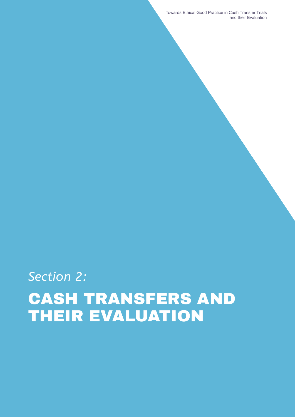Towards Ethical Good Practice in Cash Transfer Trials and their Evaluation

## CASH TRANSFERS AND *Section 2:* THEIR EVALUATION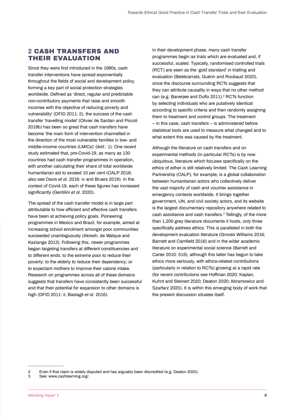## **2** CASH TRANSFERS AND THEIR EVALUATION

Since they were first introduced in the 1990s, cash transfer interventions have spread exponentially throughout the fields of social and development policy, forming a key part of social protection strategies worldwide. Defined as 'direct, regular and predictable non-contributory payments that raise and smooth incomes with the objective of reducing poverty and vulnerability' (DFID 2011: 2), the success of the cash transfer 'travelling model' (Olivier de Sardan and Piccoli 2018b) has been so great that cash transfers have become 'the main form of intervention channelled in the direction of the most vulnerable families in low- and middle-income countries (LMICs)' (*ibid*.: 1). One recent study estimated that, pre-Covid-19, as many as 130 countries had cash transfer programmes in operation, with another calculating their share of total worldwide humanitarian aid to exceed 10 per cent (CALP 2018; also see Davis *et al.* 2016: iv and Bruers 2019). In the context of Covid-19, each of these figures has increased significantly (Gentilini *et al.* 2020).

The spread of the cash transfer model is in large part attributable to how efficient and effective cash transfers have been at achieving policy goals. Pioneering programmes in Mexico and Brazil, for example, aimed at increasing school enrolment amongst poor communities succeeded unambiguously (Akresh, de Walque and Kazianga 2013). Following this, newer programmes began targeting transfers at different constituencies and to different ends: to the extreme poor to reduce their poverty; to the elderly to reduce their dependency; or to expectant mothers to improve their calorie intake. Research on programmes across all of these domains suggests that transfers have consistently been successful and that their potential for expansion to other domains is high (DFID 2011: ii; Bastagli *et al.* 2016).

In their development phase, many cash transfer programmes begin as trials which are evaluated and, if successful, scaled. Typically, randomised controlled trials (RCT) are seen as the 'gold standard' in trialling and evaluation (Bédécarrats, Guérin and Roubaud 2020), since the discourse surrounding RCTs suggests that they can attribute causality in ways that no other method can (e.g. Banerjee and Duflo 2011).<sup>2</sup> RCTs function by selecting individuals who are putatively identical according to specific criteria and then randomly assigning them to treatment and control groups. The treatment – in this case, cash transfers – is administered before statistical tools are used to measure what changed and to what extent this was caused by the treatment.

Although the literature on cash transfers and on experimental methods (in particular RCTs) is by now ubiquitous, literature which focuses specifically on the *ethics* of either is still relatively limited. The Cash Learning Partnership (CALP), for example, is a global collaboration between humanitarian actors who collectively deliver the vast majority of cash and voucher assistance in emergency contexts worldwide. It brings together government, UN, and civil society actors, and its website is the largest documentary repository anywhere related to cash assistance and cash transfers.<sup>3</sup> Tellingly, of the more than 1,200 grey literature documents it hosts, only three specifically address ethics. This is paralleled in both the development evaluation literature (Groves Williams 2016; Barnett and Camfield 2016) and in the wider academic literature on experimental social science (Barrett and Carter 2010: 519), although this latter has begun to take ethics more seriously, with ethics-related contributions (particularly in relation to RCTs) growing at a rapid rate (for recent contributions see Hoffman 2020; Kaplan, Kuhnt and Steinert 2020; Deaton 2020; Abramowicz and Szarfarz 2020). It is within this emerging body of work that the present discussion situates itself.

<sup>2</sup> Even if that claim is widely disputed and has arguably been discredited (e.g. Deaton 2020).<br>3 See: www.cashlearning org/

See: [www.cashlearning.org/.](file:///Users/barbaracheney/Documents/CLARISSA/CLARISSA%20WP3/www.cashlearning.org)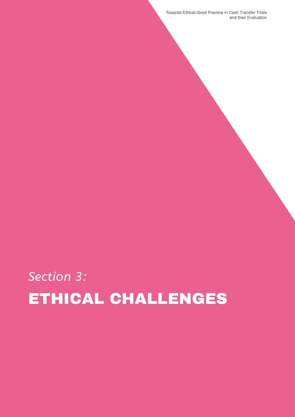Towards Ethical Good Practice in Cash Transfer Trials and their Evaluation

# ETHICAL CHALLENGES *Section 3:*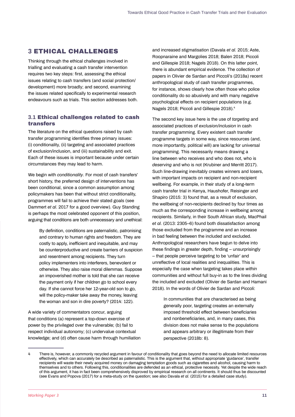## **3** ETHICAL CHALLENGES

Thinking through the ethical challenges involved in trialling and evaluating a cash transfer intervention requires two key steps: first, assessing the ethical issues relating to cash transfers (and social protection/ development) more broadly; and second, examining the issues related specifically to experimental research endeavours such as trials. This section addresses both.

### **3.1** Ethical challenges related to cash transfers

The literature on the ethical questions raised by cash transfer programming identifies three primary issues: (i) conditionality, (ii) targeting and associated practices of exclusion/inclusion, and (iii) sustainability and exit. Each of these issues is important because under certain circumstances they may lead to harm.

We begin with *conditionality*. For most of cash transfers' short history, the preferred design of interventions has been conditional, since a common assumption among policymakers has been that without strict conditionality, programmes will fail to achieve their stated goals (see Dammert *et al*. 2017 for a good overview). Guy Standing is perhaps the most celebrated opponent of this position, arguing that conditions are both unnecessary and unethical:

By definition, conditions are paternalistic, patronising and contrary to human rights and freedom. They are costly to apply, inefficient and inequitable, and may be counterproductive and create barriers of suspicion and resentment among recipients. They turn policy implementers into interferers, benevolent or otherwise. They also raise moral dilemmas. Suppose an impoverished mother is told that she can receive the payment only if her children go to school every day. If she cannot force her 12-year-old son to go, will the policy-maker take away the money, leaving the woman and son in dire poverty? (2014: 122).

A wide variety of commentators concur, arguing that conditions (a) represent a top-down exercise of power by the privileged over the vulnerable; (b) fail to respect individual autonomy; (c) undervalue contextual knowledge; and (d) often cause harm through humiliation and increased stigmatisation (Davala *et al.* 2015; Aste, Roopnaraine and Margolies 2018; Balen 2018; Piccoli and Gillespie 2018; Nagels 2018). On this latter point, there is abundant empirical evidence. The collection of papers in Olivier de Sardan and Piccoli's (2018a) recent anthropological study of cash transfer programmes, for instance, shows clearly how often those who police conditionality do so abusively and with many negative psychological effects on recipient populations (e.g. Nagels 2018; Piccoli and Gillespie 2018).<sup>4</sup>

The second key issue here is the use of *targeting* and associated practices of *exclusion/inclusion* in cash transfer programming. Every existent cash transfer programme targets in some way, since resources (and, more importantly, political will) are lacking for universal programming. This necessarily means drawing a line between who receives and who does not, who is *deserving* and who is not (Krubiner and Merritt 2017). Such line-drawing inevitably creates winners and losers, with important impacts on recipient and non-recipient wellbeing. For example, in their study of a long-term cash transfer trial in Kenya, Haushofer, Reisinger and Shapiro (2015: 3) found that, as a result of exclusion, the wellbeing of non-recipients declined by four times as much as the corresponding increase in wellbeing among recipients. Similarly, in their South African study, MacPhail *et al.* (2013: 2305–6) found both dissatisfaction among those excluded from the programme and an increase in bad feeling between the included and excluded. Anthropological researchers have begun to delve into these findings in greater depth, finding – unsurprisingly – that people perceive targeting to be 'unfair' and unreflective of local realities and inequalities. This is especially the case when targeting takes place *within*  communities and without full buy-in as to the lines dividing the included and excluded (Olivier de Sardan and Hamani 2018). In the words of Olivier de Sardan and Piccoli:

In communities that are characterised as being generally poor, targeting creates an externally imposed threshold effect between beneficiaries and nonbeneficiaries, and, in many cases, this division does not make sense to the populations and appears arbitrary or illegitimate from their perspective (2018b: 8).

<sup>4</sup> There is, however, a commonly recycled argument in favour of conditionality that goes beyond the need to allocate limited resources effectively, which can accurately be described as paternalistic. This is the argument that, without appropriate 'guidance', transfer recipients will waste their newly acquired money on damaging temptation goods such as cigarettes and alcohol, causing harm to themselves and to others. Following this, conditionalities are defended as an ethical, protective necessity. Yet despite the wide reach of this argument, it has in fact been comprehensively disproved by empirical research on all continents. It should thus be discounted (see Evans and Popova (2017) for a meta-study on the question; see also Davala *et al.* (2015) for a detailed case study).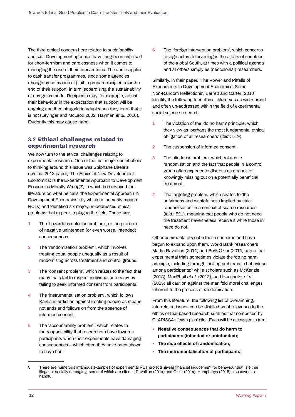The third ethical concern here relates to *sustainability*  and *exit*. Development agencies have long been criticised for short-termism and carelessness when it comes to managing the end of their interventions. The same applies to cash transfer programmes, since some agencies (though by no means all) fail to prepare recipients for the end of their support, in turn jeopardising the sustainability of any gains made. Recipients may, for example, adjust their behaviour in the expectation that support will be ongoing and then struggle to adapt when they learn that it is not (Levinger and McLeod 2002; Hayman *et al.* 2016). Evidently this may cause harm.

### **3.2** Ethical challenges related to experimental research

We now turn to the ethical challenges relating to experimental research. One of the first major contributions to thinking around this issue was Stéphane Baele's seminal 2013 paper, 'The Ethics of New Development Economics: Is the Experimental Approach to Development Economics Morally Wrong?', in which he surveyed the literature on what he calls 'the Experimental Approach in Development Economics' (by which he primarily means RCTs) and identified six major, un‑addressed ethical problems that appear to plague the field. These are:

- **1** The 'hazardous calculus problem', or the problem of negative unintended (or even worse, intended) consequences.
- **2** The 'randomisation problem', which involves treating equal people unequally as a result of randomising across treatment and control groups.
- **3** The 'consent problem', which relates to the fact that many trials fail to respect individual autonomy by failing to seek informed consent from participants.
- **4** The 'instrumentalisation problem', which follows Kant's interdiction against treating people as means not ends and follows on from the absence of informed consent.
- **5** The 'accountability problem', which relates to the responsibility that researchers have towards participants when their experiments have damaging consequences – which often they have been shown to have had.

**6** The 'foreign intervention problem', which concerns foreign actors intervening in the affairs of countries of the global South, at times with a political agenda and at others simply as (neocolonial) researchers.

Similarly, in their paper, 'The Power and Pitfalls of Experiments in Development Economics: Some Non‑Random Reflections', Barrett and Carter (2010) identify the following four ethical dilemmas as widespread and often un-addressed within the field of experimental social science research:

- **1** The violation of the 'do no harm' principle, which they view as 'perhaps the most fundamental ethical obligation of all researchers' (*ibid*.: 519).
- **2** The suspension of informed consent.
- **3** The blindness problem, which relates to randomisation and the fact that people in a control group often experience distress as a result of knowingly missing out on a potentially beneficial treatment.
- **4** The targeting problem, which relates to 'the unfairness and wastefulness implied by strict randomisation' in a context of scarce resources (*ibid*.: 521), meaning that people who do not need the treatment nevertheless receive it while those in need do not.

Other commentators echo these concerns and have begun to expand upon them. World Bank researchers Martin Ravallion (2014) and Berk Özler (2014) argue that experimental trials sometimes violate the 'do no harm' principle, including through inciting problematic behaviour among participants;<sup>5</sup> while scholars such as McKenzie (2013), MacPhail *et al.* (2013), and Haushofer *et al.* (2015) all caution against the manifold moral challenges inherent to the process of randomisation.

From this literature, the following list of overarching, interrelated issues can be distilled as of relevance to the ethics of trial-based research such as that comprised by CLARISSA's 'cash plus' pilot. Each will be discussed in turn:

- **Negative consequences that do harm to participants (intended or unintended);**
- **The side effects of randomisation;**
- **The instrumentalisation of participants;**

<sup>5</sup> There are numerous infamous examples of experimental RCT projects giving financial inducement for behaviour that is either illegal or socially damaging, some of which are cited in Ravallion (2014) and Özler (2014). Humphreys (2015) also covers a handful.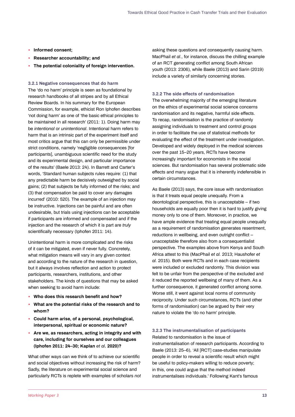- **Informed consent;**
- **Researcher accountability; and**
- **The potential coloniality of foreign intervention.**

#### **3.2.1 Negative consequences that do harm**

The 'do no harm' principle is seen as foundational by research handbooks of all stripes and by all Ethical Review Boards. In his summary for the European Commission, for example, ethicist Ron Iphofen describes 'not doing harm' as one of 'the basic ethical principles to be maintained in all research' (2011: 1). Doing harm may be *intentional* or *unintentional*. Intentional harm refers to harm that is an intrinsic part of the experiment itself and most critics argue that this can only be permissible under strict conditions, namely 'negligible consequences [for participants], unambiguous scientific need for the study and its experimental design, and particular importance of the results' (Baele 2013: 24). In Barrett and Carter's words, 'Standard human subjects rules require: (1) that any predictable harm be decisively outweighed by social gains; (2) that subjects be fully informed of the risks; and (3) that compensation be paid to cover any damages incurred' (2010: 520). The example of an injection may be instructive. Injections can be painful and are often undesirable, but trials using injections can be acceptable if participants are informed and compensated and if the injection and the research of which it is part are *truly* scientifically necessary (Iphofen 2011: 14).

Unintentional harm is more complicated and the risks of it can be mitigated, even if never fully. Concretely, what mitigation means will vary in any given context and according to the nature of the research in question, but it always involves reflection and action to protect participants, researchers, institutions, and other stakeholders. The kinds of questions that may be asked when seeking to avoid harm include:

- **Who does this research benefit and how?**
- **What are the potential risks of the research and to whom?**
- **Could harm arise, of a personal, psychological, interpersonal, spiritual or economic nature?**
- **Are we, as researchers, acting in integrity and with care, including for ourselves and our colleagues (Iphofen 2011: 24–30; Kaplan** *et al***. 2020)?**

What other ways can we think of to achieve our scientific and social objectives without increasing the risk of harm? Sadly, the literature on experimental social science and particularly RCTs is replete with examples of scholars *not*  asking these questions and consequently causing harm. MacPhail *et al*., for instance, discuss the chilling example of an RCT generating conflict among South African youth (2013: 2306), while Baele (2013) and Sarin (2019) include a variety of similarly concerning stories.

#### **3.2.2 The side effects of randomisation**

The overwhelming majority of the emerging literature on the ethics of experimental social science concerns randomisation and its negative, harmful side effects. To recap, randomisation is the practice of randomly assigning individuals to treatment and control groups in order to facilitate the use of statistical methods for evaluating the effect of the treatment under investigation. Developed and widely deployed in the medical sciences over the past 15–20 years, RCTs have become increasingly important for economists in the social sciences. But randomisation has several problematic side effects and many argue that it is inherently indefensible in certain circumstances.

As Baele (2013) says, the core issue with randomisation is that it treats equal people unequally. From a deontological perspective, this is unacceptable – if two households are equally poor then it is hard to justify giving money only to one of them. Moreover, in practice, we have ample evidence that treating equal people unequally as a requirement of randomisation generates resentment, reductions in wellbeing, and even outright conflict – unacceptable therefore also from a consequentialist perspective. The examples above from Kenya and South Africa attest to this (MacPhail *et al.* 2013; Haushofer *et al.* 2015). Both were RCTs and in each case recipients were included or excluded randomly. This division was felt to be unfair from the perspective of the excluded and it reduced the reported wellbeing of many of them. As a further consequence, it generated conflict among some. Worse still, it went against local norms of community reciprocity. Under such circumstances, RCTs (and other forms of randomisation) can be argued by their very nature to violate the 'do no harm' principle.

### **3.2.3 The instrumentalisation of participants**

Related to randomisation is the issue of instrumentalisation of research participants. According to Baele (2013: 25–6), 'All [RCT] case-studies manipulate people in order to reveal a scientific result which might be useful to policy-makers willing to reduce poverty; in this, one could argue that the method indeed instrumentalises individuals.' Following Kant's famous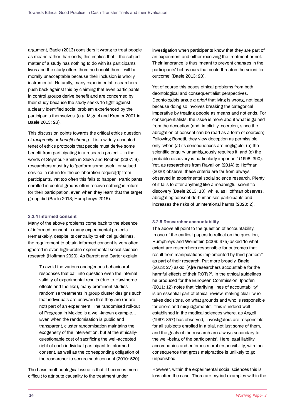argument, Baele (2013) considers it wrong to treat people as means rather than ends; this implies that if the subject matter of a study has nothing to do with its participants' lives and the study offers them no benefit then it will be morally unacceptable because their inclusion is wholly instrumental. Naturally, many experimental researchers push back against this by claiming that even participants in control groups derive benefit and are concerned by their study because the study seeks 'to fight against a clearly identified social problem experienced by the participants themselves' (e.g. Miguel and Kremer 2001 in Baele 2013: 26).

This discussion points towards the critical ethics question of *reciprocity* or *benefit sharing*. It is a widely accepted tenet of ethics protocols that people must derive some benefit from participating in a research project – in the words of Seymour-Smith in Sluka and Robben (2007: 9), researchers must try to 'perform some useful or valued service in return for the collaboration require[d]' from participants. Yet too often this fails to happen. Participants enrolled in control groups often receive nothing in return for their participation, even when they learn that the target group did (Baele 2013; Humphreys 2015).

#### **3.2.4 Informed consent**

Many of the above problems come back to the absence of informed consent in many experimental projects. Remarkably, despite its centrality to ethical guidelines, the requirement to obtain informed consent is very often ignored in even high-profile experimental social science research (Hoffman 2020). As Barrett and Carter explain:

> To avoid the various endogenous behavioural responses that call into question even the internal validity of experimental results (due to Hawthorne effects and the like), many prominent studies randomise treatments in group cluster designs such that individuals are unaware that they are (or are not) part of an experiment. The randomised roll-out of Progresa in Mexico is a well-known example…. Even when the randomisation is public and transparent, cluster randomisation maintains the exogeneity of the intervention, but at the ethicallyquestionable cost of sacrificing the well-accepted right of each individual participant to informed consent, as well as the corresponding obligation of the researcher to secure such consent (2010: 520).

The basic methodological issue is that it becomes more difficult to attribute causality to the treatment under

investigation when participants know that they are part of an experiment and either receiving the treatment or not. Their ignorance is thus 'meant to prevent changes in the participants' behaviours that could threaten the scientific outcome' (Baele 2013: 23).

Yet of course this poses ethical problems from both deontological and consequentialist perspectives. Deontologists argue *a priori* that lying is wrong, not least because doing so involves breaking the categorical imperative by treating people as means and not ends. For consequentialists, the issue is more about what is gained from the deception (and, implicitly, coercion, since the abrogation of consent can be read as a form of coercion). Following Bonetti, they view deception as permissible only 'when (a) its consequences are negligible, (b) the scientific enquiry unambiguously requires it, and (c) the probable discovery is particularly important' (1998: 390). Yet, as researchers from Ravallion (2014) to Hoffman (2020) observe, these criteria are far from always observed in experimental social science research. Plenty of it fails to offer anything like a meaningful scientific discovery (Baele 2013: 13), while, as Hoffman observes, abrogating consent de-humanises participants and increases the risks of unintentional harms (2020: 2).

#### **3.2.5 Researcher accountability**

The above all point to the question of accountability. In one of the earliest papers to reflect on the question, Humphreys and Weinstein (2009: 375) asked 'to what extent are researchers responsible for outcomes that result from manipulations implemented by third parties?' as part of their research. Put more broadly, Baele (2013: 27) asks: '[A]re researchers accountable for the harmful effects of their RCTs?'. In the ethical guidelines he produced for the European Commission, Iphofen (2011: 12) notes that 'clarifying lines of accountability' is an essential part of ethical review, making clear 'who takes decisions, on what grounds and who is responsible for errors and misjudgements'. This is indeed well established in the medical sciences where, as Angell (1997: 847) has observed, 'investigators are responsible for all subjects enrolled in a trial, not just some of them, and the goals of the research are always secondary to the well-being of the participants'. Here legal liability accompanies and enforces moral responsibility, with the consequence that gross malpractice is unlikely to go unpunished.

However, within the experimental social sciences this is less often the case. There are myriad examples within the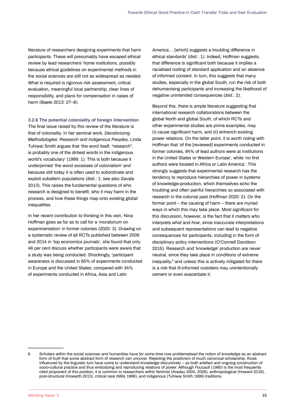literature of researchers designing experiments that harm participants. These will presumably have escaped ethical review by lead researchers' home institutions, possibly because ethical guidelines on experimental methods in the social sciences are still not as widespread as needed. What is required is rigorous risk assessment, critical evaluation, meaningful local partnership, clear lines of responsibility, and plans for compensation in cases of harm (Baele 2013: 27–8).

**3.2.6 The potential coloniality of foreign intervention**

The final issue raised by this review of the literature is that of coloniality. In her seminal work, *Decolonizing Methodologies: Research and Indigenous Peoples,* Linda Tuhiwai Smith argues that 'the word itself, "research", is probably one of the dirtiest words in the indigenous world's vocabulary' (1999: 1). This is both because it underpinned 'the worst excesses of colonialism' and because still today it is often used to subordinate and exploit subaltern populations (*ibid*.: 1; see also Zavala 2013). This raises the fundamental questions of who research is designed to benefit, who it may harm in the process, and how these things map onto existing global inequalities.

In her recent contribution to thinking in this vein, Nina Hoffman goes as far as to call for a 'moratorium on experimentation' in former colonies (2020: 3). Drawing on a systematic review of all RCTs published between 2009 and 2014 in 'top economics journals', she found that only 46 per cent discuss whether participants were aware that a study was being conducted. Shockingly, 'participant awareness is discussed in 65% of experiments conducted in Europe and the United States, compared with 34% of experiments conducted in Africa, Asia and Latin

America… [which] suggests a troubling difference in ethical standards' (*ibid*.: 1). Indeed, Hoffman suggests, that difference is significant both because it implies a racialised coding of standard application and an absence of informed consent. In turn, this suggests that many studies, especially in the global South, run the risk of both dehumanising participants and increasing the likelihood of negative unintended consequences (*ibid*.: 2).

Beyond this, there is ample literature suggesting that international research collaborations between the global North and global South, of which RCTs and other experimental studies are prime examples, may (i) cause significant harm, and (ii) entrench existing power relations. On the latter point, it is worth noting with Hoffman that 'of the [reviewed] experiments conducted in former colonies, 84% of lead authors were at institutions in the United States or Western Europe', while 'no first authors were located in Africa or Latin America'. This strongly suggests that experimental research has the tendency to reproduce hierarchies of power in systems of knowledge-production, which themselves echo the troubling and often painful hierarchies so associated with research in the colonial past (Hoffman 2020: 2). On the former point – the causing of harm – there are myriad ways in which this may take place. Most significant for this discussion, however, is the fact that it matters *who* interprets *what* and *how*, since inaccurate interpretations and subsequent representations can lead to negative consequences for participants, including in the form of disciplinary policy interventions (O'Connell Davidson 2015). Research and 'knowledge' production are never neutral, since they take place in conditions of extreme inequality,<sup>6</sup> and unless this is actively mitigated for there is a risk that ill-informed outsiders may unintentionally cement or even exacerbate it.

<sup>6</sup> Scholars within the social sciences and humanities have for some time now problematised the notion of *knowledge* as an abstract form of *truth* that some abstract form of *research* can uncover. Rejecting the positivism of much canonical scholarship, those influenced by the linguistic turn have come to understand knowledge discursively – as both artefact and ongoing construction of socio-cultural practice and thus embodying and reproducing relations of power. Although Foucault (1980) is the most frequently cited proponent of this position, it is common to researchers within feminist (Aradau 2004, 2008), anthropological (Howard 2016), post-structural (Howarth 2013), critical race (Mills 1998), and indigenous (Tuhiwai Smith 1999) traditions.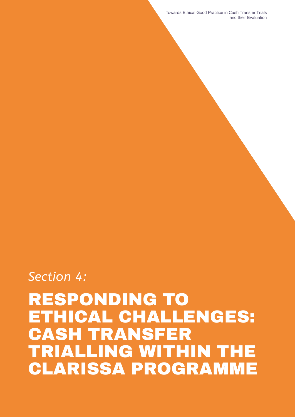Towards Ethical Good Practice in Cash Transfer Trials and their Evaluation

*Section 4:*

## RESPONDING TO ETHICAL CHALLENGES: CASH TRANSFER TRIALLING WITHIN THE CLARISSA PROGRAMME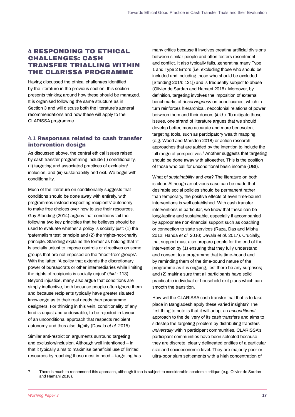### **4** RESPONDING TO ETHICAL CHALLENGES: CASH TRANSFER TRIALLING WITHIN THE CLARISSA PROGRAMME

Having discussed the ethical challenges identified by the literature in the previous section, this section presents thinking around how these should be managed. It is organised following the same structure as in Section 3 and will discuss both the literature's general recommendations and how these will apply to the CLARISSA programme.

### **4.1** Responses related to cash transfer intervention design

As discussed above, the central ethical issues raised by cash transfer programming include (i) conditionality, (ii) targeting and associated practices of exclusion/ inclusion, and (iii) sustainability and exit. We begin with conditionality.

Much of the literature on conditionality suggests that conditions should be done away with entirely, with programmes instead respecting recipients' autonomy to make free choices over how to use their resources. Guy Standing (2014) argues that conditions fail the following two key principles that he believes should be used to evaluate whether a policy is socially just: (1) the 'paternalism test' principle and (2) the 'rights-not-charity' principle. Standing explains the former as holding that 'it is socially unjust to impose controls or directives on some groups that are not imposed on the "most-free" groups'. With the latter, 'A policy that extends the discretionary power of bureaucrats or other intermediaries while limiting the rights of recipients is socially unjust' (*ibid*.: 113). Beyond injustice, many also argue that conditions are simply ineffective, both because people often ignore them and because recipients typically have greater situated knowledge as to their real needs than programme designers. For thinking in this vein, conditionality of any kind is unjust and undesirable, to be rejected in favour of an unconditional approach that respects recipient autonomy and thus also dignity (Davala *et al.* 2015).

Similar anti-restriction arguments surround targeting and exclusion/inclusion. Although well intentioned – in that it typically aims to maximise beneficial use of limited resources by reaching those most in need – targeting has

7 There is much to recommend this approach, although it too is subject to considerable academic critique (e.g. Olivier de Sardan

many critics because it involves creating artificial divisions between similar people and often fosters resentment and conflict. It also typically fails, generating many Type 1 and Type 2 Errors (i.e. excluding those who should be included and including those who should be excluded [Standing 2014: 121]) and is frequently subject to abuse (Olivier de Sardan and Hamani 2018). Moreover, by definition, targeting involves the imposition of external benchmarks of *deservingness* on beneficiaries, which in turn reinforces hierarchical, neocolonial relations of power between them and their donors (*ibid*.). To mitigate these issues, one strand of literature argues that we should develop better, more accurate and more benevolent targeting tools, such as participatory wealth mapping (e.g. Wood and Marsden 2018) or action research approaches that are guided by the intention to include the full range of perspectives.<sup>7</sup> Another suggests that targeting should be done away with altogether. This is the position of those who call for unconditional basic income (UBI).

What of *sustainability* and *exit*? The literature on both is clear. Although an obvious case can be made that desirable social policies should be permanent rather than temporary, the positive effects of even time-bound interventions is well established. With cash transfer interventions in particular, we know that these can be long-lasting and sustainable, especially if accompanied by appropriate non-financial support such as coaching or connection to state services (Raza, Das and Misha 2012; Handa *et al.* 2016; Davala *et al.* 2017). Crucially, that support must also prepare people for the end of the intervention by (1) ensuring that they fully understand and consent to a programme that is time-bound and by reminding them of the time-bound nature of the programme as it is ongoing, lest there be any surprises; and (2) making sure that all participants have solid practicable individual or household exit plans which can smooth the transition.

How will the CLARISSA cash transfer trial that is to take place in Bangladesh apply these varied insights? The first thing to note is that it will adopt an *unconditional*  approach to the delivery of its cash transfers and aims to sidestep the targeting problem by distributing transfers *universally* within participant communities. CLARISSA's participant communities have been selected because they are discrete, clearly delineated entities of a particular size and socioeconomic level. They are majority poor or ultra-poor slum settlements with a high concentration of

and Hamani 2018).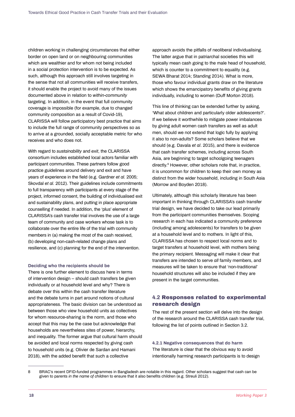children working in challenging circumstances that either border on open land or on neighbouring communities which are wealthier and for whom not being included in a social protection intervention is to be expected. As such, although this approach still involves targeting in the sense that not all communities will receive transfers, it should enable the project to avoid many of the issues documented above in relation to *within-community* targeting. In addition, in the event that full community coverage is impossible (for example, due to changed community composition as a result of Covid-19), CLARISSA will follow participatory best practice that aims to include the full range of community perspectives so as to arrive at a grounded, socially acceptable metric for who receives and who does not.

With regard to *sustainability* and *exit*, the CLARISSA consortium includes established local actors familiar with participant communities. These partners follow good practice guidelines around delivery and exit and have years of experience in the field (e.g. Gardner *et al.* 2005; Skovdal *et al.* 2012). Their guidelines include commitments to full transparency with participants at every stage of the project, informed consent, the building of individualised exit and sustainability plans, and putting in place appropriate counselling if needed. In addition, the 'plus' element of CLARISSA's cash transfer trial involves the use of a large team of community and case workers whose task is to collaborate over the entire life of the trial with community members in (a) making the most of the cash received, (b) developing non-cash-related change plans and resilience, and (c) planning for the end of the intervention.

#### **Deciding who the recipients should be**

There is one further element to discuss here in terms of intervention design – should cash transfers be given individually or at household level and why? There is debate over this within the cash transfer literature and the debate turns in part around notions of cultural appropriateness. The basic division can be understood as between those who view household units as collectives for whom resource-sharing is the norm, and those who accept that this may be the case but acknowledge that households are nevertheless sites of power, hierarchy, and inequality. The former argue that cultural harm should be avoided and local norms respected by giving cash to household units (e.g. Olivier de Sardan and Hamani 2018), with the added benefit that such a collective

approach avoids the pitfalls of neoliberal individualising. The latter argue that in patriarchal societies this will typically mean cash going to the male head of household, which is counter to a commitment to equality (e.g. SEWA Bharat 2014; Standing 2014). What is more, those who favour individual grants draw on the literature which shows the emancipatory benefits of giving grants individually, including to women (Duff Morton 2018).

This line of thinking can be extended further by asking, 'What about children and particularly older adolescents?'. If we believe it worthwhile to mitigate power imbalances by giving adult women cash transfers as well as adult men, should we not extend that logic fully by applying it also to non-adults? Some scholars believe that we should (e.g. Davala *et al*. 2015), and there is evidence that cash transfer schemes, including across South Asia, are beginning to target schoolgoing teenagers directly.<sup>8</sup> However, other scholars note that, in practice, it is uncommon for children to keep their own money as distinct from the wider household, including in South Asia (Morrow and Boyden 2018).

Ultimately, although this scholarly literature has been important in thinking through CLARISSA's cash transfer trial design, we have decided to take our lead primarily from the participant communities themselves. Scoping research in each has indicated a community preference (including among adolescents) for transfers to be given at a household level and to mothers. In light of this, CLARISSA has chosen to respect local norms and to target transfers at household level, with mothers being the primary recipient. Messaging will make it clear that transfers are intended to serve *all* family members, and measures will be taken to ensure that 'non-traditional' household structures will also be included if they are present in the target communities.

### **4.2** Responses related to experimental research design

The rest of the present section will delve into the design of the research around the CLARISSA cash transfer trial, following the list of points outlined in Section 3.2.

**4.2.1 Negative consequences that do harm**  The literature is clear that the obvious way to avoid intentionally harming research participants is to design

<sup>8</sup> BRAC's recent DFID-funded programmes in Bangladesh are notable in this regard. Other scholars suggest that cash can be given to parents *in the name of children* to ensure that it also benefits children (e.g. Streuli 2012).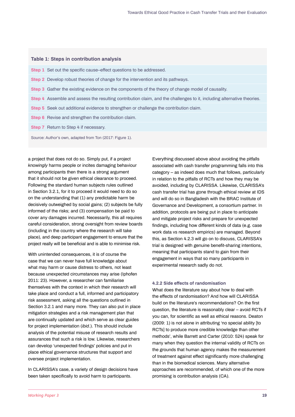| Table 1: Steps in contribution analysis                                                                                |
|------------------------------------------------------------------------------------------------------------------------|
| <b>Step 1</b> Set out the specific cause–effect questions to be addressed.                                             |
| <b>Step 2</b> Develop robust theories of change for the intervention and its pathways.                                 |
| <b>Step 3</b> Gather the existing evidence on the components of the theory of change model of causality.               |
| Step 4 Assemble and assess the resulting contribution claim, and the challenges to it, including alternative theories. |
| <b>Step 5</b> Seek out additional evidence to strengthen or challenge the contribution claim.                          |
| <b>Step 6</b> Revise and strengthen the contribution claim.                                                            |
| <b>Step 7</b> Return to Step 4 if necessary.                                                                           |

Source: Author's own, adapted from Ton (2017: Figure 1).

a project that does not do so. Simply put, if a project *knowingly* harms people or incites damaging behaviour among participants then there is a strong argument that it should not be given ethical clearance to proceed. Following the standard human subjects rules outlined in Section 3.2.1, for it to proceed it would need to do so on the understanding that (1) any predictable harm be decisively outweighed by social gains; (2) subjects be fully informed of the risks; and (3) compensation be paid to cover any damages incurred. Necessarily, this all requires careful consideration, strong oversight from review boards (including in the country where the research will take place), and deep participant engagement to ensure that the project really will be beneficial and is able to minimise risk.

With unintended consequences, it is of course the case that we can never have full knowledge about what may harm or cause distress to others, not least because unexpected circumstances may arise (Iphofen 2011: 23). However, a researcher can familiarise themselves with the context in which their research will take place and conduct a full, informed and participatory risk assessment, asking all the questions outlined in Section 3.2.1 and many more. They can also put in place mitigation strategies and a risk management plan that are continually updated and which serve as clear guides for project implementation (*ibid*.). This should include analysis of the potential misuse of research results and assurances that such a risk is low. Likewise, researchers can develop 'unexpected findings' policies and put in place ethical governance structures that support and oversee project implementation.

In CLARISSA's case, a variety of design decisions have been taken specifically to avoid harm to participants.

Everything discussed above about avoiding the pitfalls associated with cash transfer programming falls into this category – as indeed does much that follows, particularly in relation to the pitfalls of RCTs and how they may be avoided, including by CLARISSA. Likewise, CLARISSA's cash transfer trial has gone through ethical review at IDS and will do so in Bangladesh with the BRAC Institute of Governance and Development, a consortium partner. In addition, protocols are being put in place to anticipate and mitigate project risks and prepare for unexpected findings, including how different kinds of data (e.g. case work data vs research empirics) are managed. Beyond this, as Section 4.2.3 will go on to discuss, CLARISSA's trial is designed with genuine benefit-sharing intentions, meaning that participants stand to gain from their engagement in ways that so many participants in experimental research sadly do not.

#### **4.2.2 Side effects of randomisation**

What does the literature say about how to deal with the effects of randomisation? And how will CLARISSA build on the literature's recommendations? On the first question, the literature is reasonably clear – avoid RCTs if you can, for scientific as well as ethical reasons. Deaton (2009: 1) is not alone in attributing 'no special ability [to RCTs] to produce more credible knowledge than other methods', while Barrett and Carter (2010: 524) speak for many when they question the internal validity of RCTs on the grounds that human agency makes the measurement of treatment against effect significantly more challenging than in the biomedical sciences. Many alternative approaches are recommended, of which one of the more promising is contribution analysis (CA).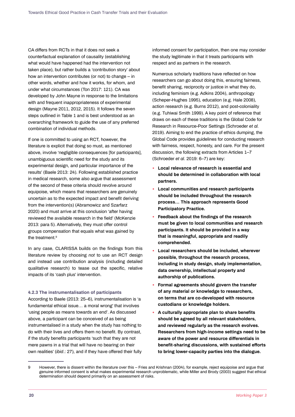CA differs from RCTs in that it does not seek a counterfactual explanation of causality (establishing what would have happened had the intervention not taken place), but rather builds a 'contribution story' about how an intervention contributes (or not) to change – in other words, whether and how it works, for whom, and under what circumstances (Ton 2017: 121). CA was developed by John Mayne in response to the limitations with and frequent inappropriateness of experimental design (Mayne 2011, 2012, 2015). It follows the seven steps outlined in Table 1 and is best understood as an overarching framework to guide the use of any preferred combination of individual methods.

If one is committed to using an RCT, however, the literature is explicit that doing so must, as mentioned above, involve 'negligible consequences [for participants], unambiguous scientific need for the study and its experimental design, and particular importance of the results' (Baele 2013: 24). Following established practice in medical research, some also argue that assessment of the second of these criteria should revolve around equipoise, which means that researchers are genuinely uncertain as to the expected impact and benefit deriving from the intervention(s) (Abramowicz and Szarfarz 2020) and must arrive at this conclusion 'after having reviewed the available research in the field' (McKenzie 2013: para 5). Alternatively, they must offer control groups compensation that equals what was gained by the treatment.9

In any case, CLARISSA builds on the findings from this literature review by choosing *not* to use an RCT design and instead use contribution analysis (including detailed qualitative research) to tease out the specific, relative impacts of its 'cash plus' intervention.

#### **4.2.3 The instrumentalisation of participants**

According to Baele (2013: 25–6), instrumentalisation is 'a fundamental ethical issue… a moral wrong' that involves 'using people as means towards an end'. As discussed above, a participant can be conceived of as being instrumentalised in a study when the study has nothing to do with their lives and offers them no benefit. By contrast, if the study benefits participants 'such that they are not mere pawns in a trial that will have no bearing on their own realities' (*ibid*.: 27), and if they have offered their fully informed consent for participation, then one may consider the study legitimate in that it treats participants with respect and as partners in the research.

Numerous scholarly traditions have reflected on how researchers can go about doing this, ensuring fairness, benefit sharing, reciprocity or justice in what they do, including feminism (e.g. Adkins 2004), anthropology (Scheper-Hughes 1995), education (e.g. Hale 2008), action research (e.g. Burns 2012), and post-coloniality (e.g. Tuhiwai Smith 1999). A key point of reference that draws on each of these traditions is the Global Code for Research in Resource-Poor Settings (Schroeder *et al.* 2019). Aiming to end the practice of ethics dumping, the Global Code provides guidelines for conducting research with fairness, respect, honesty, and care. For the present discussion, the following extracts from Articles 1–7 (Schroeder *et al.* 2019: 6–7) are key:

- **Local relevance of research is essential and should be determined in collaboration with local partners.**
- **Local communities and research participants should be included throughout the research process… This approach represents Good Participatory Practice.**
- **Feedback about the findings of the research must be given to local communities and research participants. It should be provided in a way that is meaningful, appropriate and readily comprehended.**
- **Local researchers should be included, wherever possible, throughout the research process, including in study design, study implementation, data ownership, intellectual property and authorship of publications.**
- **Formal agreements should govern the transfer of any material or knowledge to researchers, on terms that are co-developed with resource custodians or knowledge holders.**
- **A culturally appropriate plan to share benefits should be agreed by all relevant stakeholders, and reviewed regularly as the research evolves. Researchers from high-income settings need to be aware of the power and resource differentials in benefit-sharing discussions, with sustained efforts to bring lower-capacity parties into the dialogue.**

<sup>9</sup> However, there is dissent within the literature over this – Fries and Krishnan (2004), for example, reject equipoise and argue that genuine informed consent is what makes experimental research unproblematic, while Miller and Brody (2003) suggest that ethical determination should depend primarily on an assessment of risks.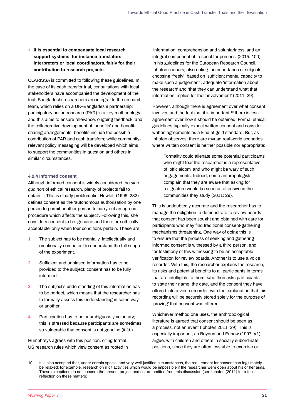#### • **It is essential to compensate local research support systems, for instance translators, interpreters or local coordinators, fairly for their contribution to research projects.**

CLARISSA is committed to following these guidelines. In the case of its cash transfer trial, consultations with local stakeholders have accompanied the development of the trial; Bangladeshi researchers are integral to the research team, which relies on a UK–Bangladeshi partnership; participatory action research (PAR) is a key methodology and this aims to ensure relevance, ongoing feedback, and the collaborative development of 'benefits' and benefitsharing arrangements; benefits include the possible contribution of PAR and cash transfers; while communityrelevant policy messaging will be developed which aims to support the communities in question and others in similar circumstances.

#### **4.2.4 Informed consent**

Although informed consent is widely considered the *sine qua non* of ethical research, plenty of projects fail to obtain it. This is clearly problematic. Hewlett (1996: 232) defines consent as the 'autonomous authorisation by one person to permit another person to carry out an agreed procedure which affects the subject'. Following this, she considers consent to be 'genuine and therefore ethically acceptable' only when four conditions pertain. These are:

- **1** The subject has to be mentally, intellectually and emotionally competent to understand the full scope of the experiment.
- **2** Sufficient and unbiased information has to be provided to the subject; consent has to be fully informed.
- **3** The subject's understanding of this information has to be perfect, which means that the researcher has to formally assess this understanding in some way or another.
- **4** Participation has to be unambiguously voluntary; this is stressed because participants are sometimes so vulnerable that consent is not genuine (*ibid*.).

Humphreys agrees with this position, citing formal US research rules which view consent as rooted in 'information, comprehension and voluntariness' and an integral component of 'respect for persons' (2015: 100). In his guidelines for the European Research Council, Iphofen concurs, also noting the importance of subjects choosing 'freely', based on 'sufficient mental capacity to make such a judgement', adequate 'information about the research' and 'that they can understand what that information implies for their involvement' (2011: 29).

However, although there is agreement over what consent involves and the fact that it is important. $10$  there is less agreement over how it should be obtained. Formal ethical guidelines typically expect written consent and consider written agreements as a kind of gold standard. But, as Iphofen observes, there are myriad real-world scenarios where written consent is neither possible nor appropriate:

Formality could alienate some potential participants who might fear the researcher is a representative of 'officialdom' and who might be wary of such engagements. Indeed, some anthropologists complain that they are aware that asking for a signature would be seen as offensive in the communities they study (2011: 29).

This is undoubtedly accurate and the researcher has to manage the obligation to demonstrate to review boards that consent has been sought and obtained with care for participants who may find traditional consent-gathering mechanisms threatening. One way of doing this is to ensure that the process of seeking and gathering informed consent is witnessed by a third person, and for testimony of this witnessing to be an acceptable verification for review boards. Another is to use a voice recorder. With this, the researcher explains the research, its risks and potential benefits to all participants in terms that are intelligible to them; s/he then asks participants to state their name, the date, and the consent they have offered into a voice recorder, with the explanation that this recording will be securely stored solely for the purpose of 'proving' that consent was offered.

Whichever method one uses, the anthropological literature is agreed that consent should be seen as a process, not an event (Iphofen 2011: 29). This is especially important, as Boyden and Ennew (1997: 41) argue, with children and others in socially subordinate positions, since they are often less able to exercise or

<sup>10</sup> It is also accepted that, under certain special and very well-justified circumstances, the requirement for consent can legitimately be relaxed; for example, research on illicit activities which would be impossible if the researcher were open about his or her aims. These exceptions do not concern the present project and so are omitted from this discussion (see Iphofen (2011) for a fuller reflection on these matters).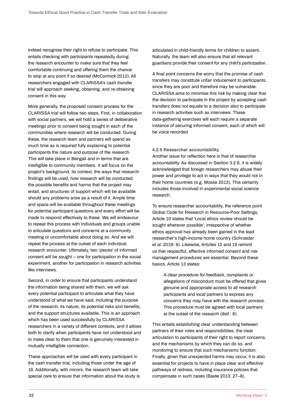indeed recognise their right to refuse to participate. This entails checking with participants repeatedly during the research encounter to make sure that they feel comfortable continuing and offering them the chance to stop at any point if so desired (McCormick 2012). All researchers engaged with CLARISSA's cash transfer trial will approach seeking, obtaining, and re-obtaining consent in this way.

More generally, the proposed consent process for the CLARISSA trial will follow two steps. First, in collaboration with social partners, we will hold a series of deliberative meetings prior to consent being sought in each of the communities where research will be conducted. During these, the research team and partners will spend as much time as is required fully explaining to potential participants the nature and purpose of the research. This will take place in Bengali and in terms that are intelligible to community members. It will focus on the project's background, its context, the ways that research findings will be used, how research will be conducted, the possible benefits and harms that the project may entail, and structures of support which will be available should any problems arise as a result of it. Ample time and space will be available throughout these meetings for potential participant questions and every effort will be made to respond effectively to these. We will endeavour to repeat this process with individuals and groups unable to articulate questions and concerns at a community meeting or uncomfortable about doing so. And we will repeat the process at the outset of each individual research encounter. Ultimately, two 'pieces' of informed consent will be sought – one for participation in the social experiment, another for participation in research activities like interviews.

Second, in order to ensure that participants understand the information being shared with them, we will ask every potential participant to articulate what they have understood of what we have said, including the purpose of the research, its nature, its potential risks and benefits, and the support structures available. This is an approach which has been used successfully by CLARISSA researchers in a variety of different contexts, and it allows both to clarify when participants have not understood and to make clear to them that one is genuinely interested in mutually intelligible connection.

These approaches will be used with every participant in the cash transfer trial, including those under the age of 18. Additionally, with minors, the research team will take special care to ensure that information about the study is

articulated in child-friendly terms for children to assent. Naturally, the team will also ensure that all relevant guardians provide their consent for any child's participation.

A final point concerns the worry that the promise of cash transfers may constitute unfair inducement to participants, since they are poor and therefore may be vulnerable. CLARISSA aims to minimise this risk by making clear that the decision to participate in the project by accepting cash transfers does *not* equate to a decision also to participate in research activities such as interviews. These data-gathering exercises will each require a separate instance of securing informed consent, each of which will be voice recorded.

#### **4.2.5 Researcher accountability**

Another issue for reflection here is that of researcher accountability. As discussed in Section 3.2.6, it is widely acknowledged that foreign researchers may abuse their power and privilege to act in ways that they would not in their home countries (e.g. Mosse 2013). This certainly includes those involved in experimental social science research.

To ensure researcher accountability, the reference point Global Code for Research in Resource-Poor Settings, Article 10 states that 'Local ethics review should be sought wherever possible', irrespective of whether ethics approval has already been gained in the lead researcher's high-income home country (Schroeder *et al.* 2019: 8). Likewise, Articles 12 and 19 remind us that respectful, effective informed consent and risk management procedures are essential. Beyond these basics, Article 13 states:

A clear procedure for feedback, complaints or allegations of misconduct must be offered that gives genuine and appropriate access to all research participants and local partners to express any concerns they may have with the research process. This procedure must be agreed with local partners at the outset of the research (*ibid*.: 8).

This entails establishing clear understanding between partners of their roles and responsibilities, the clear articulation to participants of their right to report concerns, and the mechanisms by which they can do so, and monitoring to ensure that such mechanisms function. Finally, given that unexpected harms may occur, it is also essential for projects to have in place clear and effective pathways of redress, including insurance policies that compensate in such cases (Baele 2013: 27–8).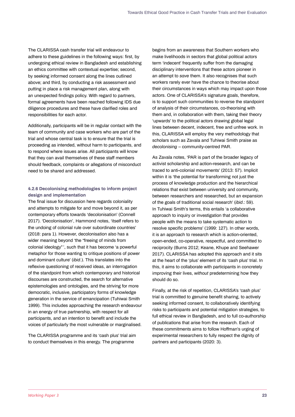The CLARISSA cash transfer trial will endeavour to adhere to these guidelines in the following ways: first, by undergoing ethical review in Bangladesh and establishing an ethics committee with contextual expertise; second, by seeking informed consent along the lines outlined above; and third, by conducting a risk assessment and putting in place a risk management plan, along with an unexpected findings policy. With regard to partners, formal agreements have been reached following IDS due diligence procedures and these have clarified roles and responsibilities for each actor.

Additionally, participants will be in regular contact with the team of community and case workers who are part of the trial and whose central task is to ensure that the trial is proceeding as intended, without harm to participants, and to respond where issues arise. All participants will know that they can avail themselves of these staff members should feedback, complaints or allegations of misconduct need to be shared and addressed.

#### **4.2.6 Decolonising methodologies to inform project design and implementation**

The final issue for discussion here regards coloniality and attempts to mitigate for and move beyond it, as per contemporary efforts towards 'decolonisation' (Connell 2017). 'Decolonisation', Hammond notes, 'itself refers to the undoing of colonial rule over subordinate countries' (2018: para 1). However, decolonisation also has a wider meaning beyond 'the "freeing of minds from colonial ideology" ', such that it has become 'a powerful metaphor for those wanting to critique positions of power and dominant culture' (*ibid*.). This translates into the reflexive questioning of received ideas, an interrogation of the standpoint from which contemporary and historical discourses are constructed, the search for alternative epistemologies and ontologies, and the striving for more democratic, inclusive, participatory forms of knowledge generation in the service of emancipation (Tuhiwai Smith 1999). This includes approaching the research endeavour in an energy of true partnership, with respect for all participants, and an intention to benefit and include the voices of particularly the most vulnerable or marginalised.

The CLARISSA programme and its 'cash plus' trial aim to conduct themselves in this energy. The programme

begins from an awareness that Southern workers who make livelihoods in sectors that global political actors term 'indecent' frequently suffer from the damaging disciplinary interventions that these actors pioneer in an attempt to *save* them. It also recognises that such workers rarely ever have the chance to theorise about their circumstances in ways which may impact upon those actors. One of CLARISSA's signature goals, therefore, is to support such communities to reverse the standpoint of analysis of their circumstances, co-theorising with them and, in collaboration with them, taking their theory 'upwards' to the political actors drawing global legal lines between decent, indecent, free and unfree work. In this, CLARISSA will employ the very methodology that scholars such as Zavala and Tuhiwai Smith praise as *decolonising* – community-centred PAR.

As Zavala notes, 'PAR is part of the broader legacy of activist scholarship and action-research, and can be traced to anti-colonial movements' (2013: 57). Implicit within it is 'the potential for transforming not just the process of knowledge production and the hierarchical relations that exist between university and community, between researchers and researched, but an expansion of the goals of traditional social research' (*ibid*.: 59). In Tuhiwai Smith's terms, this entails 'a collaborative approach to inquiry or investigation that provides people with the means to take systematic action to resolve specific problems' (1999: 127). In other words, it is an approach to research which is action-oriented, open-ended, co-operative, respectful, and committed to reciprocity (Burns 2012; Keane, Khupe and Seehawer 2017). CLARISSA has adopted this approach and it sits at the heart of the 'plus' element of its 'cash plus' trial. In this, it aims to collaborate with participants in concretely improving their lives, *without* predetermining how they should do so.

Finally, at the risk of repetition, CLARISSA's 'cash plus' trial is committed to genuine benefit sharing, to actively seeking informed consent, to collaboratively identifying risks to participants and potential mitigation strategies, to full ethical review in Bangladesh, and to full co-authorship of publications that arise from the research. Each of these commitments aims to follow Hoffman's urging of experimental researchers to fully respect the dignity of partners and participants (2020: 3).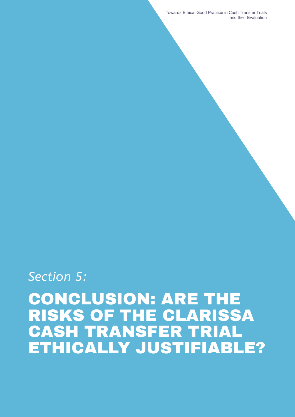Towards Ethical Good Practice in Cash Transfer Trials and their Evaluation

*Section 5:*

## CONCLUSION: ARE THE RISKS OF THE CLARISSA CASH TRANSFER TRIAL ETHICALLY JUSTIFIABLE?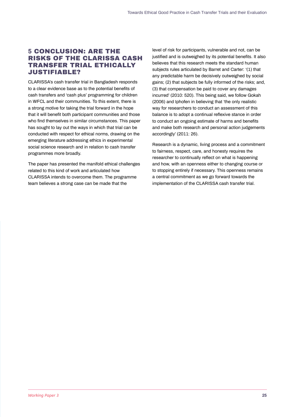## **5** CONCLUSION: ARE THE RISKS OF THE CLARISSA CASH TRANSFER TRIAL ETHICALLY JUSTIFIABLE?

CLARISSA's cash transfer trial in Bangladesh responds to a clear evidence base as to the potential benefits of cash transfers and 'cash plus' programming for children in WFCL and their communities. To this extent, there is a strong motive for taking the trial forward in the hope that it will benefit both participant communities and those who find themselves in similar circumstances. This paper has sought to lay out the ways in which that trial can be conducted with respect for ethical norms, drawing on the emerging literature addressing ethics in experimental social science research and in relation to cash transfer programmes more broadly.

The paper has presented the manifold ethical challenges related to this kind of work and articulated how CLARISSA intends to overcome them. The programme team believes a strong case can be made that the

level of risk for participants, vulnerable and not, can be justified and is outweighed by its potential benefits. It also believes that this research meets the standard human subjects rules articulated by Barret and Carter: '(1) that any predictable harm be decisively outweighed by social gains; (2) that subjects be fully informed of the risks; and, (3) that compensation be paid to cover any damages incurred' (2010: 520). This being said, we follow Gokah (2006) and Iphofen in believing that 'the only realistic way for researchers to conduct an assessment of this balance is to adopt a continual reflexive stance in order to conduct an ongoing estimate of harms and benefits and make both research and personal action judgements accordingly' (2011: 26).

Research is a dynamic, living process and a commitment to fairness, respect, care, and honesty requires the researcher to continually reflect on what is happening and how, with an openness either to changing course or to stopping entirely if necessary. This openness remains a central commitment as we go forward towards the implementation of the CLARISSA cash transfer trial.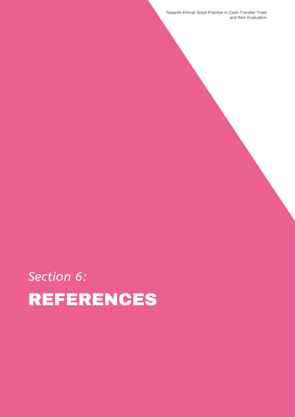Towards Ethical Good Practice in Cash Transfer Trials and their Evaluation

# REFERENCES *Section 6:*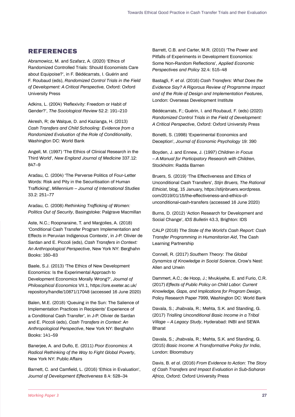### REFERENCES

Abramowicz, M. and Szafarz, A. (2020) 'Ethics of Randomized Controlled Trials: Should Economists Care about Equipoise?', in F. Bédécarrats, I. Guérin and F. Roubaud (eds), *Randomized Control Trials in the Field of Development: A Critical Perspective,* Oxford: Oxford University Press

Adkins, L. (2004) 'Reflexivity: Freedom or Habit of Gender?', *The Sociological Review* 52.2: 191–210

Akresh, R; de Walque, D. and Kazianga, H. (2013) *Cash Transfers and Child Schooling: Evidence from a Randomized Evaluation of the Role of Conditionality*, Washington DC: World Bank

Angell, M. (1997) 'The Ethics of Clinical Research in the Third World', *New England Journal of Medicine* 337.12: 847–9

Aradau, C. (2004) 'The Perverse Politics of Four-Letter Words: Risk and Pity in the Securitisation of Human Trafficking', *Millennium – Journal of International Studies*  33.2: 251–77

Aradau, C. (2008) *Rethinking Trafficking of Women: Politics Out of Security*, Basingstoke: Palgrave Macmillan

Aste, N.C.; Roopnaraine, T. and Margolies, A. (2018) 'Conditional Cash Transfer Program Implementation and Effects in Peruvian Indigenous Contexts', in J-P. Olivier de Sardan and E. Piccoli (eds), *Cash Transfers in Context: An Anthropological Perspective*, New York NY: Berghahn Books: 160–83

Baele, S.J. (2013) 'The Ethics of New Development Economics: Is the Experimental Approach to Development Economics Morally Wrong?', *Journal of Philosophical Economics* VII.1, [https://ore.exeter.ac.uk/](https://ore.exeter.ac.uk/repository/handle/10871/17048) [repository/handle/10871/17048](https://ore.exeter.ac.uk/repository/handle/10871/17048) (accessed 16 June 2020)

Balen, M.E. (2018) 'Queuing in the Sun: The Salience of Implementation Practices in Recipients' Experience of a Conditional Cash Transfer', in J-P. Olivier de Sardan and E. Piccoli (eds), *Cash Transfers in Context: An Anthropological Perspective*, New York NY: Berghahn Books: 141–59

Banerjee, A. and Duflo, E. (2011) *Poor Economics: A Radical Rethinking of the Way to Fight Global Poverty*, New York NY: Public Affairs

Barnett, C. and Camfield, L. (2016) 'Ethics in Evaluation', *Journal of Development Effectiveness* 8.4: 528–34

Barrett, C.B. and Carter, M.R. (2010) 'The Power and Pitfalls of Experiments in Development Economics: Some Non-Random Reflections', *Applied Economic Perspectives and Policy* 32.4: 515–48

Bastagli, F. *et al*. (2016) *Cash Transfers: What Does the Evidence Say? A Rigorous Review of Programme Impact and of the Role of Design and Implementation Features*, London: Overseas Development Institute

Bédécarrats, F.; Guérin, I. and Roubaud, F. (eds) (2020) *Randomized Control Trials in the Field of Development: A Critical Perspective*, Oxford: Oxford University Press

Bonetti, S. (1998) 'Experimental Economics and Deception', *Journal of Economic Psychology* 19: 390

Boyden, J. and Ennew, J. (1997) *Children in Focus – A Manual for Participatory Research with Children,* Stockholm: Radda Barnen

Bruers, S. (2019) 'The Effectiveness and Ethics of Unconditional Cash Transfers', *Stijn Bruers, The Rational Ethicist*, blog, 15 January, [https://stijnbruers.wordpress.](https://stijnbruers.wordpress.com/2019/01/15/the-effectiveness-and-ethics-of-unconditional-cash-transfers) [com/2019/01/15/the-effectiveness-and-ethics-of](https://stijnbruers.wordpress.com/2019/01/15/the-effectiveness-and-ethics-of-unconditional-cash-transfers)[unconditional-cash-transfers](https://stijnbruers.wordpress.com/2019/01/15/the-effectiveness-and-ethics-of-unconditional-cash-transfers) (accessed 16 June 2020)

Burns, D. (2012) 'Action Research for Development and Social Change', *IDS Bulletin* 43.3, Brighton: IDS

CALP (2018) *The State of the World's Cash Report: Cash Transfer Programming in Humanitarian Aid*, The Cash Learning Partnership

Connell, R. (2017) *Southern Theory: The Global Dynamics of Knowledge in Social Science*, Crow's Nest: Allen and Unwin

Dammert, A.C.; de Hoop, J.; Mvukiyehe, E. and Furio, C.R. (2017) *Effects of Public Policy on Child Labor: Current Knowledge, Gaps, and Implications for Program Design*, Policy Research Paper 7999, Washington DC: World Bank

Davala, S.; Jhabvala, R.; Mehta, S.K. and Standing, G. (2017) *Trialling Unconditional Basic Income in a Tribal Village – A Legacy Study*, Hyderabad: INBI and SEWA Bharat

Davala, S.; Jhabvala, R.; Mehta, S.K. and Standing, G. (2015) *Basic Income: A Transformative Policy for India*, London: Bloomsbury

Davis, B. *et al*. (2016) *From Evidence to Action: The Story of Cash Transfers and Impact Evaluation in Sub-Saharan Africa*, Oxford: Oxford University Press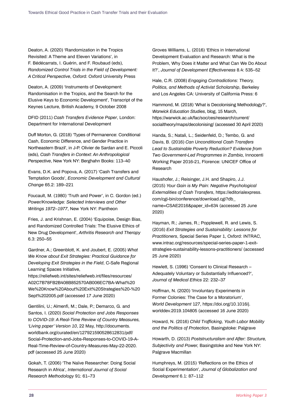Deaton, A. (2020) 'Randomization in the Tropics Revisited: A Theme and Eleven Variations', in F. Bédécarrats, I. Guérin, and F. Roubaud (eds), *Randomized Control Trials in the Field of Development: A Critical Perspective*, Oxford: Oxford University Press

Deaton, A. (2009) 'Instruments of Development: Randomisation in the Tropics, and the Search for the Elusive Keys to Economic Development', Transcript of the Keynes Lecture, British Academy, 9 October 2008

DFID (2011) *Cash Transfers Evidence Paper*, London: Department for International Development

Duff Morton, G. (2018) 'Types of Permanence: Conditional Cash, Economic Difference, and Gender Practice in Northeastern Brazil', in J-P. Olivier de Sardan and E. Piccoli (eds), *Cash Transfers in Context: An Anthropological Perspective*, New York NY: Berghahn Books: 113–40

Evans, D.K. and Popova, A. (2017) 'Cash Transfers and Temptation Goods', *Economic Development and Cultural Change* 65.2: 189–221

Foucault, M. (1980) 'Truth and Power', in C. Gordon (ed.) *Power/Knowledge: Selected Interviews and Other Writings 1972–1977*, New York NY: Pantheon

Fries, J. and Krishnan, E. (2004) 'Equipoise, Design Bias, and Randomized Controlled Trials: The Elusive Ethics of New Drug Development', *Arthritis Research and Therapy* 6.3: 250–55

Gardner, A.; Greenblott, K. and Joubert, E. (2005) *What We Know about Exit Strategies: Practical Guidance for Developing Exit Strategies in the Field*, C-Safe Regional Learning Spaces Initiative,

[https://reliefweb.int/sites/reliefweb.int/files/resources/](https://reliefweb.int/sites/reliefweb.int/files/resources/A02C7B78FB2B408B852570AB006EC7BA-What We Know About Exit Strategies - Sept 2005.pdf) [A02C7B78FB2B408B852570AB006EC7BA-What%20](https://reliefweb.int/sites/reliefweb.int/files/resources/A02C7B78FB2B408B852570AB006EC7BA-What We Know About Exit Strategies - Sept 2005.pdf) [We%20Know%20About%20Exit%20Strategies%20-%20](https://reliefweb.int/sites/reliefweb.int/files/resources/A02C7B78FB2B408B852570AB006EC7BA-What We Know About Exit Strategies - Sept 2005.pdf) [Sept%202005.pdf](https://reliefweb.int/sites/reliefweb.int/files/resources/A02C7B78FB2B408B852570AB006EC7BA-What We Know About Exit Strategies - Sept 2005.pdf) (accessed 17 June 2020)

Gentilini, U.; Almenfi, M.; Dale, P.; Demarco, G. and Santos, I. (2020) *Social Protection and Jobs Responses to COVID-19: A Real-Time Review of Country Measures, 'Living paper' Version 10*, 22 May, [http://documents.](http://documents.worldbank.org/curated/en/127921590528612831/pdf/Social-Protection-and-Jobs-Responses-to-COVID-19-A-Real-Time-Review-of-Country-Measures-May-22-2020.pdf) [worldbank.org/curated/en/127921590528612831/pdf/](http://documents.worldbank.org/curated/en/127921590528612831/pdf/Social-Protection-and-Jobs-Responses-to-COVID-19-A-Real-Time-Review-of-Country-Measures-May-22-2020.pdf) [Social-Protection-and-Jobs-Responses-to-COVID-19-A-](http://documents.worldbank.org/curated/en/127921590528612831/pdf/Social-Protection-and-Jobs-Responses-to-COVID-19-A-Real-Time-Review-of-Country-Measures-May-22-2020.pdf)[Real-Time-Review-of-Country-Measures-May-22-2020.](http://documents.worldbank.org/curated/en/127921590528612831/pdf/Social-Protection-and-Jobs-Responses-to-COVID-19-A-Real-Time-Review-of-Country-Measures-May-22-2020.pdf) [pdf](http://documents.worldbank.org/curated/en/127921590528612831/pdf/Social-Protection-and-Jobs-Responses-to-COVID-19-A-Real-Time-Review-of-Country-Measures-May-22-2020.pdf) (accessed 25 June 2020)

Gokah, T. (2006) 'The Naïve Researcher: Doing Social Research in Africa', *International Journal of Social Research Methodology* 91: 61–73

Groves Williams, L. (2016) 'Ethics in International Development Evaluation and Research: What is the Problem, Why Does it Matter and What Can We Do About It?', *Journal of Development Effectiveness* 8.4: 535–52

Hale, C.R. (2008) *Engaging Contradictions: Theory, Politics, and Methods of Activist Scholarship*, Berkeley and Los Angeles CA: University of California Press: 6

Hammond, M. (2018) 'What is Decolonising Methodology?', *Warwick Education Studies*, blog, 15 March, [https://warwick.ac.uk/fac/soc/ces/research/current/](https://warwick.ac.uk/fac/soc/ces/research/current/socialtheory/maps/decolonising/) [socialtheory/maps/decolonising/](https://warwick.ac.uk/fac/soc/ces/research/current/socialtheory/maps/decolonising/) (accessed 30 April 2020)

Handa, S.; Natali, L.; Seidenfeld, D.; Tembo, G. and Davis, B. (2016) *Can Unconditional Cash Transfers Lead to Sustainable Poverty Reduction? Evidence from Two Government-Led Programmes in Zambia*, Innocenti Working Paper 2016-21, Florence: UNICEF Office of Research

Haushofer, J.; Reisinger, J.H. and Shapiro, J.J. (2015) *Your Gain is My Pain: Negative Psychological Externalities of Cash Transfers*, [https://editorialexpress.](https://editorialexpress.com/cgi-bin/conference/download.cgi?db_name=CSAE2016&paper_id=634) [com/cgi-bin/conference/download.cgi?db\\_](https://editorialexpress.com/cgi-bin/conference/download.cgi?db_name=CSAE2016&paper_id=634) [name=CSAE2016&paper\\_id=634](https://editorialexpress.com/cgi-bin/conference/download.cgi?db_name=CSAE2016&paper_id=634) (accessed 25 June 2020)

Hayman, R.; James, R.; Popplewell, R. and Lewis, S. (2016) *Exit Strategies and Sustainability: Lessons for Practitioners*, Special Series Paper 1, Oxford: INTRAC, [www.intrac.org/resources/special-series-paper-1-exit](http://www.intrac.org/resources/special-series-paper-1-exit-strategies-sustainability-lessons-practitioners/)[strategies-sustainability-lessons-practitioners/](http://www.intrac.org/resources/special-series-paper-1-exit-strategies-sustainability-lessons-practitioners/) (accessed 25 June 2020)

Hewlett, S. (1996) 'Consent to Clinical Research – Adequately Voluntary or Substantially Influenced?', *Journal of Medical Ethics* 22: 232–37

Hoffman, N. (2020) 'Involuntary Experiments in Former Colonies: The Case for a Moratorium', *World Development* 127, [https://doi.org/10.1016/j.](https://doi.org/10.1016/j.worlddev.2019.104805) [worlddev.2019.104805](https://doi.org/10.1016/j.worlddev.2019.104805) (accessed 16 June 2020)

Howard, N. (2016) *Child Trafficking, Youth Labor Mobility and the Politics of Protection,* Basingstoke: Palgrave

Howarth, D. (2013) *Poststructuralism and After: Structure, Subjectivity and Power,* Basingstoke and New York NY: Palgrave Macmillan

Humphreys, M. (2015) 'Reflections on the Ethics of Social Experimentation', *Journal of Globalization and Development* 6.1: 87–112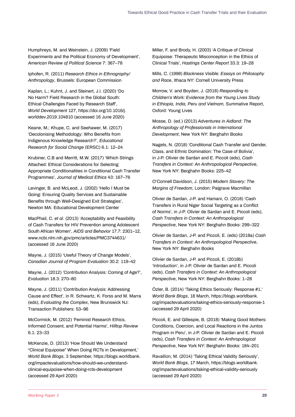Humphreys, M. and Weinstein, J. (2009) 'Field Experiments and the Political Economy of Development', *American Review of Political Science* 7: 367–78

Iphofen, R. (2011) *Research Ethics in Ethnography/ Anthropology*, Brussels: European Commission

Kaplan, L.; Kuhnt, J. and Steinert, J.I. (2020) 'Do No Harm? Field Research in the Global South: Ethical Challenges Faced by Research Staff', *World Development* 127, [https://doi.org/10.1016/j.](https://doi.org/10.1016/j.worlddev.2019.104810) [worlddev.2019.104810](https://doi.org/10.1016/j.worlddev.2019.104810) (accessed 16 June 2020)

Keane, M.; Khupe, C. and Seehawer, M. (2017) 'Decolonising Methodology: Who Benefits from Indigenous Knowledge Research?', *Educational Research for Social Change* (ERSC) 6.1: 12–24

Krubiner, C.B and Merritt, M.W. (2017) 'Which Strings Attached: Ethical Considerations for Selecting Appropriate Conditionalities in Conditional Cash Transfer Programmes', *Journal of Medical Ethics* 43: 167–76

Levinger, B. and McLeod, J. (2002) 'Hello I Must be Going: Ensuring Quality Services and Sustainable Benefits through Well-Designed Exit Strategies', Newton MA: Educational Development Center

MacPhail, C. *et al*. (2013) 'Acceptability and Feasibility of Cash Transfers for HIV Prevention among Adolescent South African Women', *AIDS and Behavior* 17.7: 2301–12, [www.ncbi.nlm.nih.gov/pmc/articles/PMC3744631/](http://www.ncbi.nlm.nih.gov/pmc/articles/PMC3744631/)  (accessed 16 June 2020)

Mayne, J. (2015) 'Useful Theory of Change Models', *Canadian Journal of Program Evaluation* 30.2: 119–42

Mayne, J. (2012) 'Contribution Analysis: Coming of Age?', *Evaluation* 18.3: 270–80

Mayne, J. (2011) 'Contribution Analysis: Addressing Cause and Effect', in R. Schwartz, K. Forss and M. Marra (eds), *Evaluating the Complex*, New Brunswick NJ: Transaction Publishers: 53–96

McCormick, M. (2012) 'Feminist Research Ethics, Informed Consent, and Potential Harms', *Hilltop Review* 6.1: 23–33

McKenzie, D. (2013) 'How Should We Understand "Clinical Equipoise" When Doing RCTs in Development,' *World Bank Blogs*, 3 September, [https://blogs.worldbank.](https://blogs.worldbank.org/impactevaluations/how-should-we-understand-clinical-equipoise-when-doing-rcts-development) [org/impactevaluations/how-should-we-understand](https://blogs.worldbank.org/impactevaluations/how-should-we-understand-clinical-equipoise-when-doing-rcts-development)[clinical-equipoise-when-doing-rcts-development](https://blogs.worldbank.org/impactevaluations/how-should-we-understand-clinical-equipoise-when-doing-rcts-development)  (accessed 29 April 2020)

Miller, F. and Brody, H. (2003) 'A Critique of Clinical Equipoise: Therapeutic Misconception in the Ethics of Clinical Trials', *Hastings Center Report* 33.3: 19–28

Mills, C. (1998) *Blackness Visible: Essays on Philosophy and Race*, Ithaca NY: Cornell University Press

Morrow, V. and Boyden, J. (2018) *Responding to Children's Work: Evidence from the Young Lives Study in Ethiopia, India, Peru and Vietnam,* Summative Report, Oxford: Young Lives

Mosse, D. (ed.) (2013) *Adventures in Aidland: The Anthropology of Professionals in International Development*, New York NY: Berghahn Books

Nagels, N. (2018) 'Conditional Cash Transfer and Gender, Class, and Ethnic Domination: The Case of Bolivia', in J-P. Olivier de Sardan and E. Piccoli (eds), *Cash Transfers in Context: An Anthropological Perspective*, New York NY: Berghahn Books: 225–42

O'Connell Davidson, J. (2015) *Modern Slavery: The Margins of Freedom*, London: Palgrave Macmillan

Olivier de Sardan, J-P. and Hamani, O. (2018) 'Cash Transfers in Rural Niger Social Targeting as a Conflict of Norms', in J-P. Olivier de Sardan and E. Piccoli (eds), *Cash Transfers in Context: An Anthropological Perspective*, New York NY: Berghahn Books: 299–322

Olivier de Sardan, J-P. and Piccoli, E. (eds) (2018a) *Cash Transfers in Context: An Anthropological Perspective*, New York NY: Berghahn Books

Olivier de Sardan, J-P. and Piccoli, E. (2018b) 'Introduction', in J-P. Olivier de Sardan and E. Piccoli (eds), *Cash Transfers in Context: An Anthropological Perspective*, New York NY: Berghahn Books: 1–28

Özler, B. (2014) 'Taking Ethics Seriously: Response #1,' *World Bank Blogs*, 18 March, [https://blogs.worldbank.](https://blogs.worldbank.org/impactevaluations/taking-ethics-seriously-response-1) [org/impactevaluations/taking-ethics-seriously-response-1](https://blogs.worldbank.org/impactevaluations/taking-ethics-seriously-response-1)  (accessed 29 April 2020)

Piccoli, E. and Gillespie, B. (2018) 'Making Good Mothers: Conditions, Coercion, and Local Reactions in the Juntos Program in Peru', in J-P. Olivier de Sardan and E. Piccoli (eds), *Cash Transfers in Context: An Anthropological Perspective*, New York NY: Berghahn Books: 184–201

Ravallion, M. (2014) 'Taking Ethical Validity Seriously', *World Bank Blogs*, 17 March, [https://blogs.worldbank.](https://blogs.worldbank.org/impactevaluations/taking-ethical-validity-seriously) [org/impactevaluations/taking-ethical-validity-seriously](https://blogs.worldbank.org/impactevaluations/taking-ethical-validity-seriously)  (accessed 29 April 2020)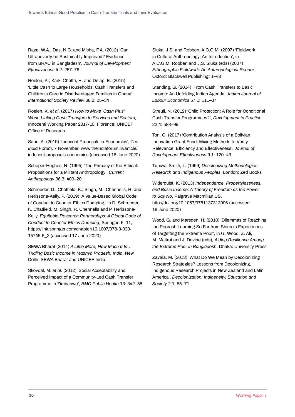Raza, W.A.; Das, N.C. and Misha, F.A. (2012) 'Can Ultrapoverty be Sustainably Improved? Evidence from BRAC in Bangladesh', *Journal of Development Effectiveness* 4.2: 257–76

Roelen, K.; Karki Chettri, H. and Delap, E. (2015) 'Little Cash to Large Households: Cash Transfers and Children's Care in Disadvantaged Families in Ghana', *International Society Review* 68.2: 25–34

Roelen, K. *et al*. (2017) *How to Make 'Cash Plus' Work: Linking Cash Transfers to Services and Sectors*, Innocenti Working Paper 2017-10, Florence: UNICEF Office of Research

Sarin, A. (2019) 'Indecent Proposals in Economics', *The India Forum*, 7 November, [www.theindiaforum.in/article/](http://www.theindiaforum.in/article/indecent-proposals-economics) [indecent-proposals-economics](http://www.theindiaforum.in/article/indecent-proposals-economics) (accessed 16 June 2020)

Scheper-Hughes, N. (1995) 'The Primacy of the Ethical: Propositions for a Militant Anthropology', *Current Anthropology* 36.3: 409–20

Schroeder, D.; Chatfield, K.; Singh, M.; Chennells, R. and Herissone-Kelly, P. (2019) 'A Value-Based Global Code of Conduct to Counter Ethics Dumping,' in D. Schroeder, K. Chatfield, M. Singh, R. Chennells and P. Herissone-Kelly, *Equitable Research Partnerships: A Global Code of Conduct to Counter Ethics Dumping*, Springer: 5–11, [https://link.springer.com/chapter/10.1007/978-3-030-](https://link.springer.com/chapter/10.1007/978-3-030-15745-6_2)  [15745-6\\_2](https://link.springer.com/chapter/10.1007/978-3-030-15745-6_2) (accessed 17 June 2020)

SEWA Bharat (2014) *A Little More, How Much It Is… Trialing Basic Income in Madhya Pradesh, India*, New Delhi: SEWA Bharat and UNICEF India

Skovdal, M. *et al*. (2012) 'Social Acceptability and Perceived Impact of a Community-Led Cash Transfer Programme in Zimbabwe', *BMC Public Health* 13: 342–58

Sluka, J.S. and Robben, A.C.G.M. (2007) 'Fieldwork in Cultural Anthropology: An Introduction', in A.C.G.M. Robben and J.S. Sluka (eds) (2007) *Ethnographic Fieldwork: An Anthropological Reader*, Oxford: Blackwell Publishing: 1–48

Standing, G. (2014) 'From Cash Transfers to Basic Income: An Unfolding Indian Agenda', *Indian Journal of Labour Economics* 57.1: 111–37

Streuli, N. (2012) 'Child Protection: A Role for Conditional Cash Transfer Programmes?', *Development in Practice* 22.4: 588–99

Ton, G. (2017) 'Contribution Analysis of a Bolivian Innovation Grant Fund: Mixing Methods to Verify Relevance, Efficiency and Effectiveness', *Journal of Development Effectiveness* 9.1: 120–43

Tuhiwai Smith, L. (1999) *Decolonizing Methodologies: Research and Indigenous Peoples*, London: Zed Books

Widerquist, K. (2013) *Independence, Propertylessness, and Basic Income: A Theory of Freedom as the Power to Say No*, Palgrave Macmillan US, http://doi.org[/10.1057/9781137313096](https://doi.org/10.1057/9781137313096) (accessed 16 June 2020)

Wood, G. and Marsden, H. (2018) 'Dilemmas of Reaching the Poorest: Learning So Far from Shiree's Experiences of Targetting the Extreme Poor', in G. Wood, Z. Ali, M. Maitrot and J. Devine (eds), *Aiding Resilience Among the Extreme Poor in Bangladesh*, Dhaka: University Press

Zavala, M. (2013) 'What Do We Mean by Decolonizing Research Strategies? Lessons from Decolonizing, Indigenous Research Projects in New Zealand and Latin America', *Decolonization: Indigeneity, Education and Society* 2.1: 55–71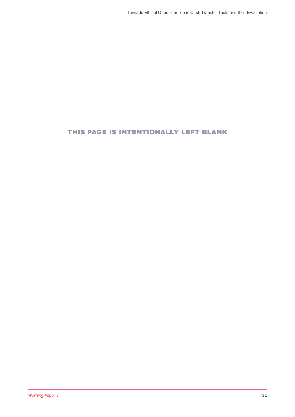## THIS PAGE IS INTENTIONALLY LEFT BLANK